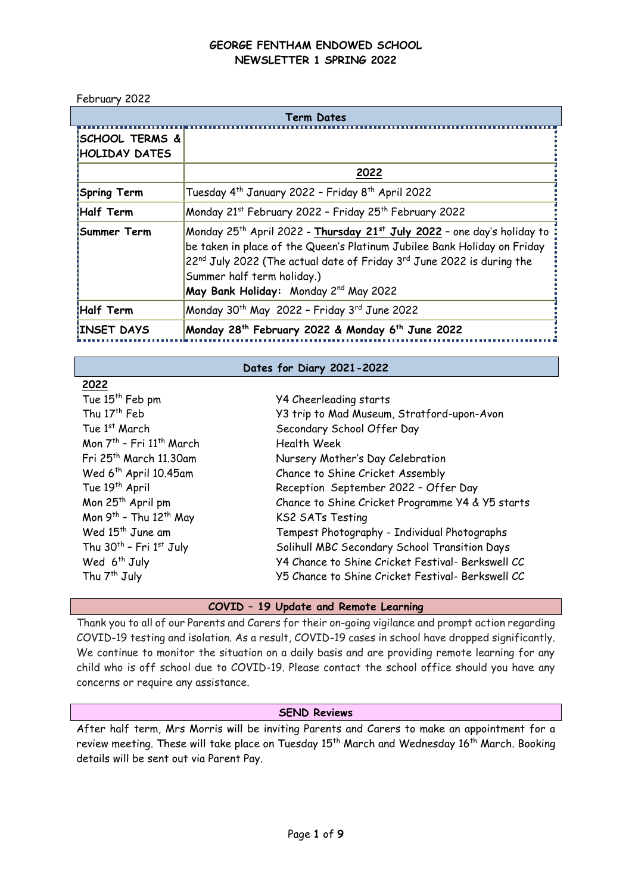February 2022

**2022**

| Term Dates                                         |                                                                                                                                                                                                                                                                                                                                         |  |  |
|----------------------------------------------------|-----------------------------------------------------------------------------------------------------------------------------------------------------------------------------------------------------------------------------------------------------------------------------------------------------------------------------------------|--|--|
| <b>‡SCHOOL TERMS &amp;</b><br><b>HOLIDAY DATES</b> |                                                                                                                                                                                                                                                                                                                                         |  |  |
|                                                    | 2022                                                                                                                                                                                                                                                                                                                                    |  |  |
| <b>Spring Term</b>                                 | Tuesday 4 <sup>th</sup> January 2022 - Friday 8 <sup>th</sup> April 2022                                                                                                                                                                                                                                                                |  |  |
| <b>Half Term</b>                                   | Monday 21st February 2022 - Friday 25th February 2022                                                                                                                                                                                                                                                                                   |  |  |
| <b>Summer Term</b>                                 | Monday 25 <sup>th</sup> April 2022 - Thursday 21st July 2022 – one day's holiday to<br>be taken in place of the Queen's Platinum Jubilee Bank Holiday on Friday<br>22 <sup>nd</sup> July 2022 (The actual date of Friday 3 <sup>rd</sup> June 2022 is during the<br>Summer half term holiday.)<br>May Bank Holiday: Monday 2nd May 2022 |  |  |
| Half Term                                          | Monday 30 <sup>th</sup> May 2022 - Friday 3 <sup>rd</sup> June 2022                                                                                                                                                                                                                                                                     |  |  |
| <b>INSET DAYS</b>                                  | Monday 28 <sup>th</sup> February 2022 & Monday 6 <sup>th</sup> June 2022                                                                                                                                                                                                                                                                |  |  |

### **Dates for Diary 2021-2022**

| LULL                                             |                                                   |
|--------------------------------------------------|---------------------------------------------------|
| Tue 15 <sup>th</sup> Feb pm                      | Y4 Cheerleading starts                            |
| Thu 17 <sup>th</sup> Feb                         | Y3 trip to Mad Museum, Stratford-upon-Avon        |
| Tue 1st March                                    | Secondary School Offer Day                        |
| Mon 7 <sup>th</sup> - Fri 11 <sup>th</sup> March | Health Week                                       |
| Fri 25 <sup>th</sup> March 11.30am               | Nursery Mother's Day Celebration                  |
| Wed 6 <sup>th</sup> April 10.45am                | Chance to Shine Cricket Assembly                  |
| Tue 19 <sup>th</sup> April                       | Reception September 2022 - Offer Day              |
| Mon 25 <sup>th</sup> April pm                    | Chance to Shine Cricket Programme Y4 & Y5 starts  |
| Mon 9th - Thu 12th May                           | <b>KS2 SATs Testing</b>                           |
| Wed 15 <sup>th</sup> June am                     | Tempest Photography - Individual Photographs      |
| Thu 30 <sup>th</sup> - Fri 1st July              | Solihull MBC Secondary School Transition Days     |
| Wed 6 <sup>th</sup> July                         | Y4 Chance to Shine Cricket Festival- Berkswell CC |
| Thu 7 <sup>th</sup> July                         | Y5 Chance to Shine Cricket Festival- Berkswell CC |
|                                                  |                                                   |

# **COVID – 19 Update and Remote Learning**

Thank you to all of our Parents and Carers for their on-going vigilance and prompt action regarding COVID-19 testing and isolation. As a result, COVID-19 cases in school have dropped significantly. We continue to monitor the situation on a daily basis and are providing remote learning for any child who is off school due to COVID-19. Please contact the school office should you have any concerns or require any assistance.

## **SEND Reviews**

After half term, Mrs Morris will be inviting Parents and Carers to make an appointment for a review meeting. These will take place on Tuesday 15<sup>th</sup> March and Wednesday 16<sup>th</sup> March. Booking details will be sent out via Parent Pay.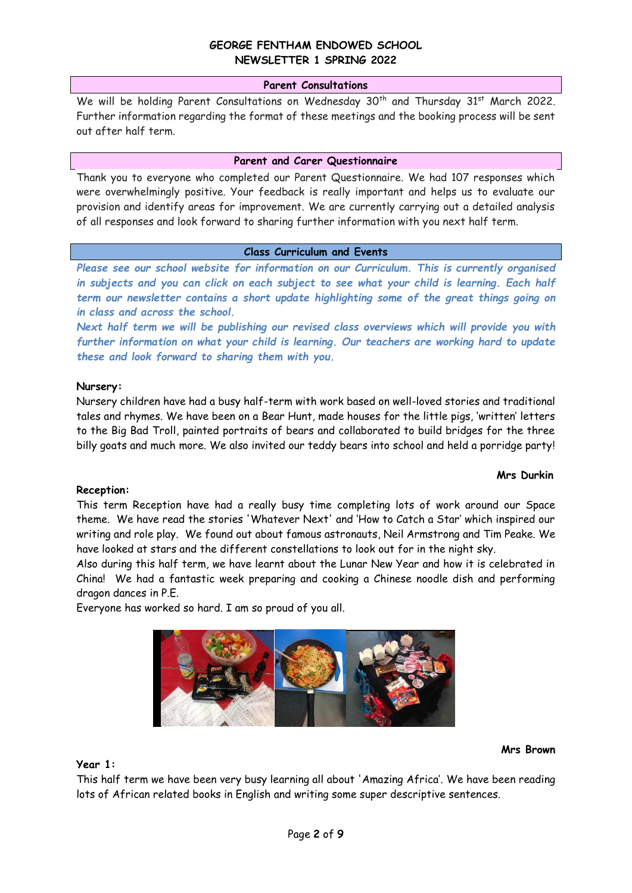### **Parent Consultations**

We will be holding Parent Consultations on Wednesday 30<sup>th</sup> and Thursday 31<sup>st</sup> March 2022. Further information regarding the format of these meetings and the booking process will be sent out after half term.

### **Parent and Carer Questionnaire**

Thank you to everyone who completed our Parent Questionnaire. We had 107 responses which were overwhelmingly positive. Your feedback is really important and helps us to evaluate our provision and identify areas for improvement. We are currently carrying out a detailed analysis of all responses and look forward to sharing further information with you next half term.

### **Class Curriculum and Events**

*Please see our school website for information on our Curriculum. This is currently organised in subjects and you can click on each subject to see what your child is learning. Each half term our newsletter contains a short update highlighting some of the great things going on in class and across the school.*

*Next half term we will be publishing our revised class overviews which will provide you with further information on what your child is learning. Our teachers are working hard to update these and look forward to sharing them with you.* 

### **Nursery:**

Nursery children have had a busy half-term with work based on well-loved stories and traditional tales and rhymes. We have been on a Bear Hunt, made houses for the little pigs, 'written' letters to the Big Bad Troll, painted portraits of bears and collaborated to build bridges for the three billy goats and much more. We also invited our teddy bears into school and held a porridge party!

### **Mrs Durkin**

### **Reception:**

This term Reception have had a really busy time completing lots of work around our Space theme. We have read the stories 'Whatever Next' and 'How to Catch a Star' which inspired our writing and role play. We found out about famous astronauts, Neil Armstrong and Tim Peake. We have looked at stars and the different constellations to look out for in the night sky.

Also during this half term, we have learnt about the Lunar New Year and how it is celebrated in China! We had a fantastic week preparing and cooking a Chinese noodle dish and performing dragon dances in P.E.

Everyone has worked so hard. I am so proud of you all.



#### **Mrs Brown**

### **Year 1:**

This half term we have been very busy learning all about 'Amazing Africa'. We have been reading lots of African related books in English and writing some super descriptive sentences.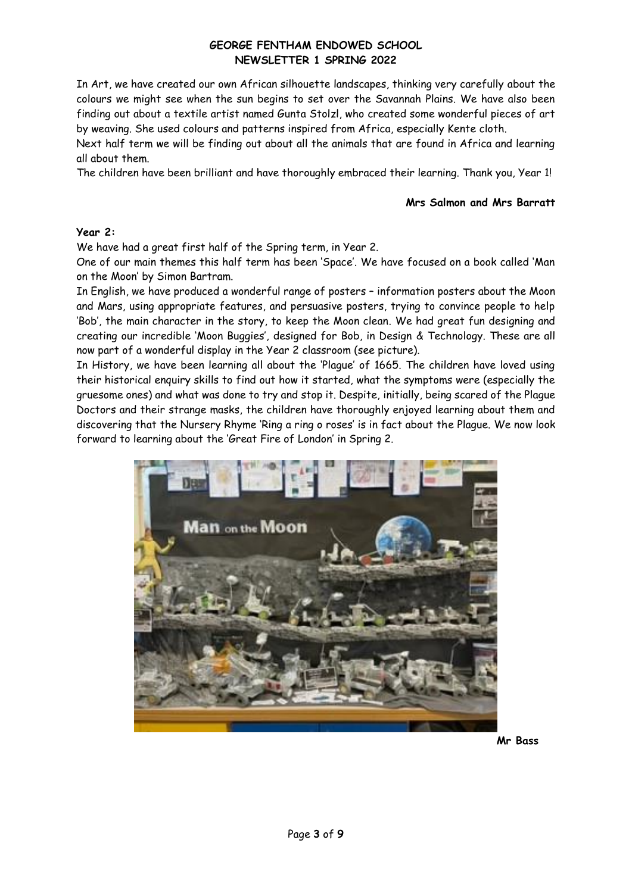In Art, we have created our own African silhouette landscapes, thinking very carefully about the colours we might see when the sun begins to set over the Savannah Plains. We have also been finding out about a textile artist named Gunta Stolzl, who created some wonderful pieces of art by weaving. She used colours and patterns inspired from Africa, especially Kente cloth.

Next half term we will be finding out about all the animals that are found in Africa and learning all about them.

The children have been brilliant and have thoroughly embraced their learning. Thank you, Year 1!

### **Mrs Salmon and Mrs Barratt**

## **Year 2:**

We have had a great first half of the Spring term, in Year 2.

One of our main themes this half term has been 'Space'. We have focused on a book called 'Man on the Moon' by Simon Bartram.

In English, we have produced a wonderful range of posters – information posters about the Moon and Mars, using appropriate features, and persuasive posters, trying to convince people to help 'Bob', the main character in the story, to keep the Moon clean. We had great fun designing and creating our incredible 'Moon Buggies', designed for Bob, in Design & Technology. These are all now part of a wonderful display in the Year 2 classroom (see picture).

In History, we have been learning all about the 'Plague' of 1665. The children have loved using their historical enquiry skills to find out how it started, what the symptoms were (especially the gruesome ones) and what was done to try and stop it. Despite, initially, being scared of the Plague Doctors and their strange masks, the children have thoroughly enjoyed learning about them and discovering that the Nursery Rhyme 'Ring a ring o roses' is in fact about the Plague. We now look forward to learning about the 'Great Fire of London' in Spring 2.



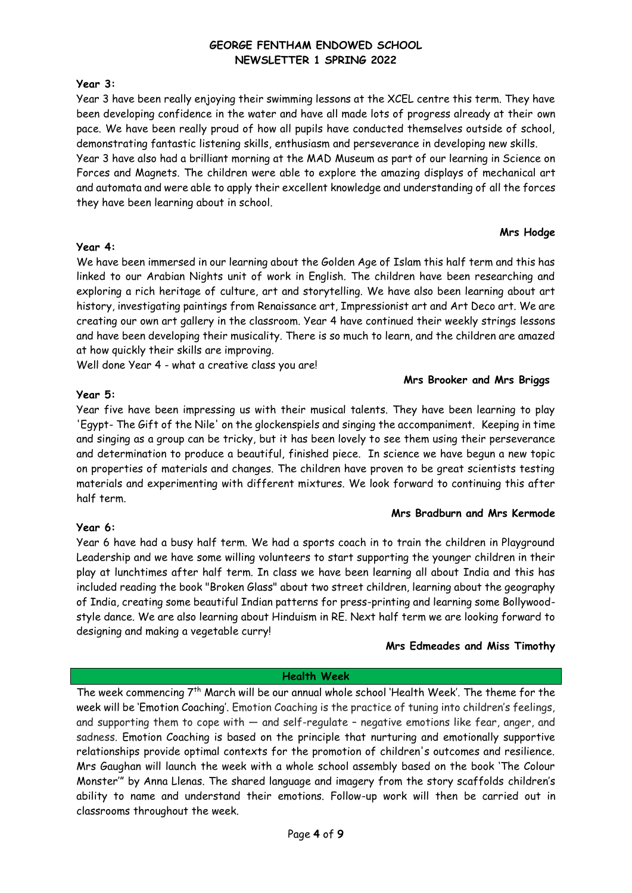# **Year 3:**

Year 3 have been really enjoying their swimming lessons at the XCEL centre this term. They have been developing confidence in the water and have all made lots of progress already at their own pace. We have been really proud of how all pupils have conducted themselves outside of school, demonstrating fantastic listening skills, enthusiasm and perseverance in developing new skills.

Year 3 have also had a brilliant morning at the MAD Museum as part of our learning in Science on Forces and Magnets. The children were able to explore the amazing displays of mechanical art and automata and were able to apply their excellent knowledge and understanding of all the forces they have been learning about in school.

## **Mrs Hodge**

### **Year 4:**

We have been immersed in our learning about the Golden Age of Islam this half term and this has linked to our Arabian Nights unit of work in English. The children have been researching and exploring a rich heritage of culture, art and storytelling. We have also been learning about art history, investigating paintings from Renaissance art, Impressionist art and Art Deco art. We are creating our own art gallery in the classroom. Year 4 have continued their weekly strings lessons and have been developing their musicality. There is so much to learn, and the children are amazed at how quickly their skills are improving.

Well done Year 4 - what a creative class you are!

# **Mrs Brooker and Mrs Briggs**

# **Year 5:**

Year five have been impressing us with their musical talents. They have been learning to play 'Egypt- The Gift of the Nile' on the glockenspiels and singing the accompaniment. Keeping in time and singing as a group can be tricky, but it has been lovely to see them using their perseverance and determination to produce a beautiful, finished piece. In science we have begun a new topic on properties of materials and changes. The children have proven to be great scientists testing materials and experimenting with different mixtures. We look forward to continuing this after half term.

# **Mrs Bradburn and Mrs Kermode**

# **Year 6:**

Year 6 have had a busy half term. We had a sports coach in to train the children in Playground Leadership and we have some willing volunteers to start supporting the younger children in their play at lunchtimes after half term. In class we have been learning all about India and this has included reading the book "Broken Glass" about two street children, learning about the geography of India, creating some beautiful Indian patterns for press-printing and learning some Bollywoodstyle dance. We are also learning about Hinduism in RE. Next half term we are looking forward to designing and making a vegetable curry!

# **Mrs Edmeades and Miss Timothy**

# **Health Week**

The week commencing 7<sup>th</sup> March will be our annual whole school 'Health Week'. The theme for the week will be 'Emotion Coaching'. Emotion Coaching is the practice of tuning into children's feelings, and supporting them to cope with — and self-regulate – negative emotions like fear, anger, and sadness. Emotion Coaching is based on the principle that nurturing and emotionally supportive relationships provide optimal contexts for the promotion of children's outcomes and resilience. Mrs Gaughan will launch the week with a whole school assembly based on the book 'The Colour Monster'" by Anna Llenas. The shared language and imagery from the story scaffolds children's ability to name and understand their emotions. Follow-up work will then be carried out in classrooms throughout the week.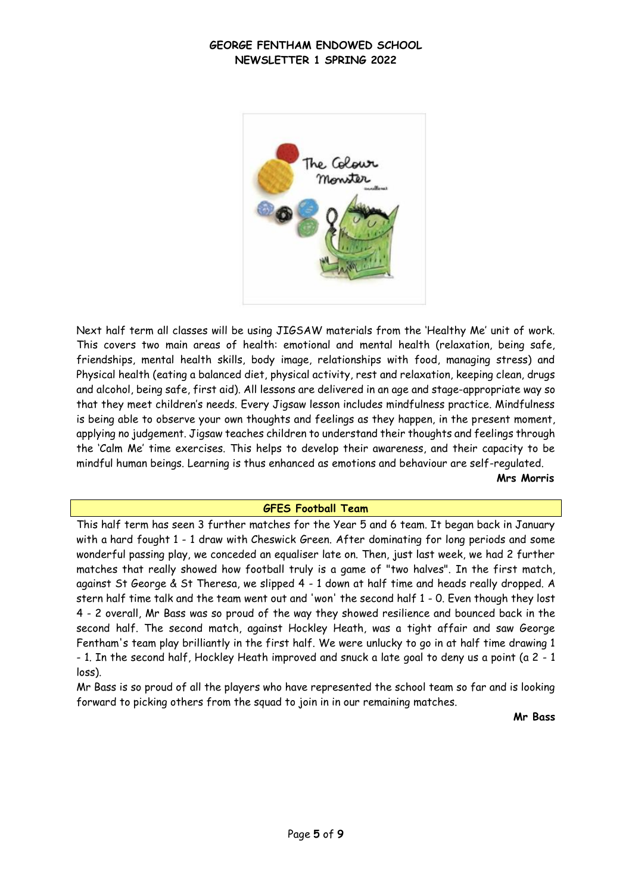

Next half term all classes will be using JIGSAW materials from the 'Healthy Me' unit of work. This covers two main areas of health: emotional and mental health (relaxation, being safe, friendships, mental health skills, body image, relationships with food, managing stress) and Physical health (eating a balanced diet, physical activity, rest and relaxation, keeping clean, drugs and alcohol, being safe, first aid). All lessons are delivered in an age and stage-appropriate way so that they meet children's needs. Every Jigsaw lesson includes mindfulness practice. Mindfulness is being able to observe your own thoughts and feelings as they happen, in the present moment, applying no judgement. Jigsaw teaches children to understand their thoughts and feelings through the 'Calm Me' time exercises. This helps to develop their awareness, and their capacity to be mindful human beings. Learning is thus enhanced as emotions and behaviour are self-regulated. **Mrs Morris**

### **GFES Football Team**

This half term has seen 3 further matches for the Year 5 and 6 team. It began back in January with a hard fought 1 - 1 draw with Cheswick Green. After dominating for long periods and some wonderful passing play, we conceded an equaliser late on. Then, just last week, we had 2 further matches that really showed how football truly is a game of "two halves". In the first match, against St George & St Theresa, we slipped 4 - 1 down at half time and heads really dropped. A stern half time talk and the team went out and 'won' the second half 1 - 0. Even though they lost 4 - 2 overall, Mr Bass was so proud of the way they showed resilience and bounced back in the second half. The second match, against Hockley Heath, was a tight affair and saw George Fentham's team play brilliantly in the first half. We were unlucky to go in at half time drawing 1 - 1. In the second half, Hockley Heath improved and snuck a late goal to deny us a point (a 2 - 1 loss).

Mr Bass is so proud of all the players who have represented the school team so far and is looking forward to picking others from the squad to join in in our remaining matches.

**Mr Bass**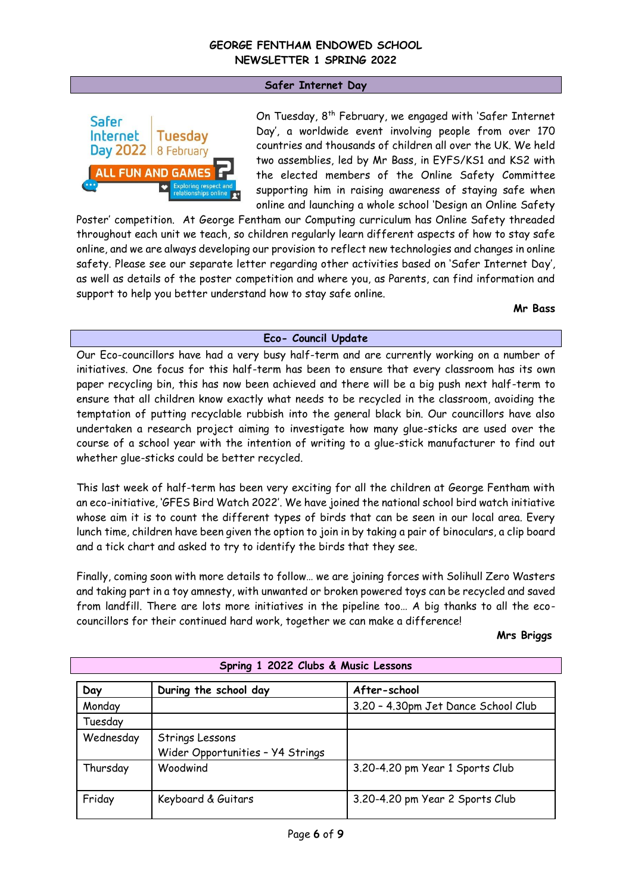### **Safer Internet Day**



On Tuesday, 8<sup>th</sup> February, we engaged with 'Safer Internet Day', a worldwide event involving people from over 170 countries and thousands of children all over the UK. We held two assemblies, led by Mr Bass, in EYFS/KS1 and KS2 with the elected members of the Online Safety Committee supporting him in raising awareness of staying safe when online and launching a whole school 'Design an Online Safety

Poster' competition. At George Fentham our Computing curriculum has Online Safety threaded throughout each unit we teach, so children regularly learn different aspects of how to stay safe online, and we are always developing our provision to reflect new technologies and changes in online safety. Please see our separate letter regarding other activities based on 'Safer Internet Day', as well as details of the poster competition and where you, as Parents, can find information and support to help you better understand how to stay safe online.

**Mr Bass**

## **Eco- Council Update**

Our Eco-councillors have had a very busy half-term and are currently working on a number of initiatives. One focus for this half-term has been to ensure that every classroom has its own paper recycling bin, this has now been achieved and there will be a big push next half-term to ensure that all children know exactly what needs to be recycled in the classroom, avoiding the temptation of putting recyclable rubbish into the general black bin. Our councillors have also undertaken a research project aiming to investigate how many glue-sticks are used over the course of a school year with the intention of writing to a glue-stick manufacturer to find out whether glue-sticks could be better recycled.

This last week of half-term has been very exciting for all the children at George Fentham with an eco-initiative, 'GFES Bird Watch 2022'. We have joined the national school bird watch initiative whose aim it is to count the different types of birds that can be seen in our local area. Every lunch time, children have been given the option to join in by taking a pair of binoculars, a clip board and a tick chart and asked to try to identify the birds that they see.

Finally, coming soon with more details to follow… we are joining forces with Solihull Zero Wasters and taking part in a toy amnesty, with unwanted or broken powered toys can be recycled and saved from landfill. There are lots more initiatives in the pipeline too… A big thanks to all the ecocouncillors for their continued hard work, together we can make a difference!

#### **Mrs Briggs**

| Day       | During the school day                               | After-school                        |
|-----------|-----------------------------------------------------|-------------------------------------|
| Monday    |                                                     | 3.20 - 4.30pm Jet Dance School Club |
| Tuesday   |                                                     |                                     |
| Wednesday | Strings Lessons<br>Wider Opportunities - Y4 Strings |                                     |
| Thursday  | Woodwind                                            | 3.20-4.20 pm Year 1 Sports Club     |
| Friday    | Keyboard & Guitars                                  | 3.20-4.20 pm Year 2 Sports Club     |

**Spring 1 2022 Clubs & Music Lessons**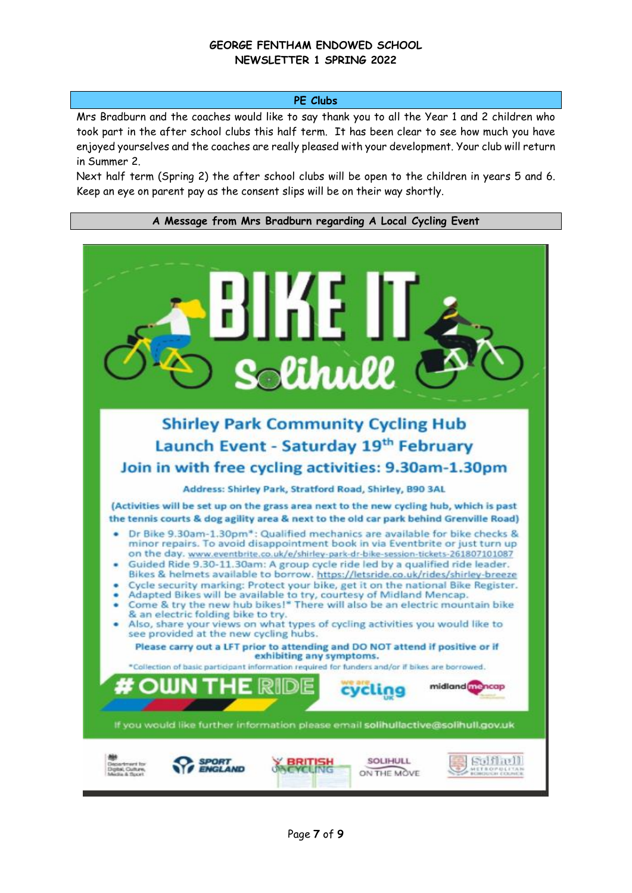## **PE Clubs**

Mrs Bradburn and the coaches would like to say thank you to all the Year 1 and 2 children who took part in the after school clubs this half term. It has been clear to see how much you have enjoyed yourselves and the coaches are really pleased with your development. Your club will return in Summer 2.

Next half term (Spring 2) the after school clubs will be open to the children in years 5 and 6. Keep an eye on parent pay as the consent slips will be on their way shortly.

### **A Message from Mrs Bradburn regarding A Local Cycling Event**

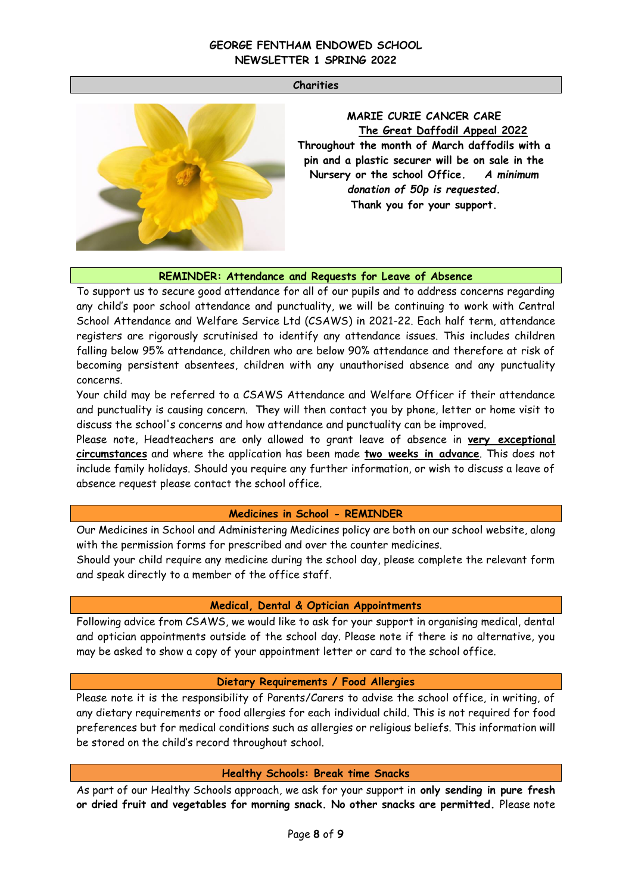### **Charities**



**MARIE CURIE CANCER CARE The Great Daffodil Appeal 2022 Throughout the month of March daffodils with a pin and a plastic securer will be on sale in the Nursery or the school Office.** *A minimum donation of 50p is requested.* **Thank you for your support.**

### **REMINDER: Attendance and Requests for Leave of Absence**

To support us to secure good attendance for all of our pupils and to address concerns regarding any child's poor school attendance and punctuality, we will be continuing to work with Central School Attendance and Welfare Service Ltd (CSAWS) in 2021-22. Each half term, attendance registers are rigorously scrutinised to identify any attendance issues. This includes children falling below 95% attendance, children who are below 90% attendance and therefore at risk of becoming persistent absentees, children with any unauthorised absence and any punctuality concerns.

Your child may be referred to a CSAWS Attendance and Welfare Officer if their attendance and punctuality is causing concern. They will then contact you by phone, letter or home visit to discuss the school's concerns and how attendance and punctuality can be improved.

Please note, Headteachers are only allowed to grant leave of absence in **very exceptional circumstances** and where the application has been made **two weeks in advance**. This does not include family holidays. Should you require any further information, or wish to discuss a leave of absence request please contact the school office.

### **Medicines in School - REMINDER**

Our Medicines in School and Administering Medicines policy are both on our school website, along with the permission forms for prescribed and over the counter medicines.

Should your child require any medicine during the school day, please complete the relevant form and speak directly to a member of the office staff.

### **Medical, Dental & Optician Appointments**

Following advice from CSAWS, we would like to ask for your support in organising medical, dental and optician appointments outside of the school day. Please note if there is no alternative, you may be asked to show a copy of your appointment letter or card to the school office.

### **Dietary Requirements / Food Allergies**

Please note it is the responsibility of Parents/Carers to advise the school office, in writing, of any dietary requirements or food allergies for each individual child. This is not required for food preferences but for medical conditions such as allergies or religious beliefs. This information will be stored on the child's record throughout school.

### **Healthy Schools: Break time Snacks**

As part of our Healthy Schools approach, we ask for your support in **only sending in pure fresh or dried fruit and vegetables for morning snack. No other snacks are permitted.** Please note